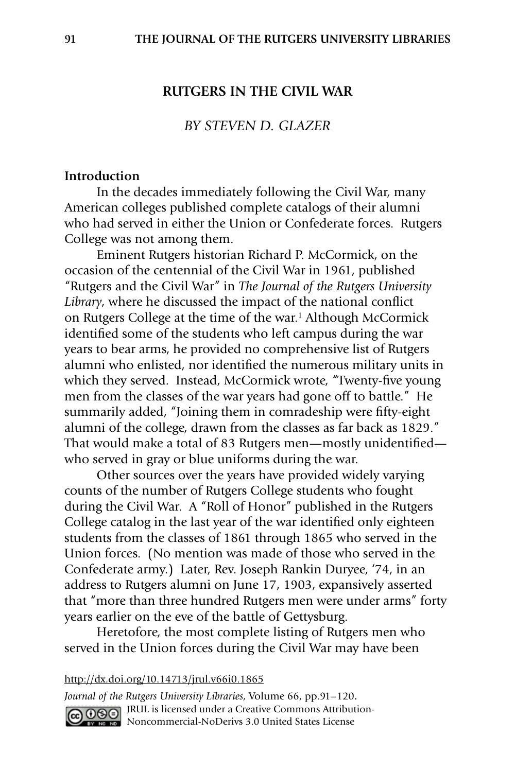### **RUTGERS IN THE CIVIL WAR**

### *BY STEVEN D. GLAZER*

### **Introduction**

 In the decades immediately following the Civil War, many American colleges published complete catalogs of their alumni who had served in either the Union or Confederate forces. Rutgers College was not among them.

 Eminent Rutgers historian Richard P. McCormick, on the occasion of the centennial of the Civil War in 1961, published "Rutgers and the Civil War" in *The Journal of the Rutgers University Library*, where he discussed the impact of the national conflict on Rutgers College at the time of the war.<sup>1</sup> Although McCormick identified some of the students who left campus during the war years to bear arms, he provided no comprehensive list of Rutgers alumni who enlisted, nor identified the numerous military units in which they served. Instead, McCormick wrote, "Twenty-five young men from the classes of the war years had gone off to battle." He summarily added, "Joining them in comradeship were fifty-eight alumni of the college, drawn from the classes as far back as 1829." That would make a total of 83 Rutgers men—mostly unidentified who served in gray or blue uniforms during the war.

 Other sources over the years have provided widely varying counts of the number of Rutgers College students who fought during the Civil War. A "Roll of Honor" published in the Rutgers College catalog in the last year of the war identified only eighteen students from the classes of 1861 through 1865 who served in the Union forces. (No mention was made of those who served in the Confederate army.) Later, Rev. Joseph Rankin Duryee, '74, in an address to Rutgers alumni on June 17, 1903, expansively asserted that "more than three hundred Rutgers men were under arms" forty years earlier on the eve of the battle of Gettysburg.

 Heretofore, the most complete listing of Rutgers men who served in the Union forces during the Civil War may have been

#### http://dx.doi.org/10.14713/jrul.v66i0.1865

*Journal of the Rutgers University Libraries*, Volume 66, pp.91–120**.** GOOO JRUL is licensed under a Creative Commons Attribution-**Noncommercial-NoDerivs 3.0 United States License**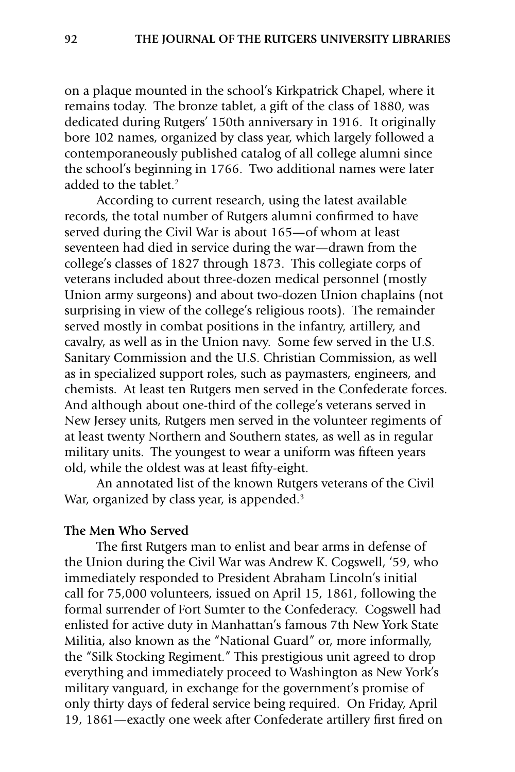on a plaque mounted in the school's Kirkpatrick Chapel, where it remains today. The bronze tablet, a gift of the class of 1880, was dedicated during Rutgers' 150th anniversary in 1916. It originally bore 102 names, organized by class year, which largely followed a contemporaneously published catalog of all college alumni since the school's beginning in 1766. Two additional names were later added to the tablet.<sup>2</sup>

 According to current research, using the latest available records, the total number of Rutgers alumni confirmed to have served during the Civil War is about 165—of whom at least seventeen had died in service during the war—drawn from the college's classes of 1827 through 1873. This collegiate corps of veterans included about three-dozen medical personnel (mostly Union army surgeons) and about two-dozen Union chaplains (not surprising in view of the college's religious roots). The remainder served mostly in combat positions in the infantry, artillery, and cavalry, as well as in the Union navy. Some few served in the U.S. Sanitary Commission and the U.S. Christian Commission, as well as in specialized support roles, such as paymasters, engineers, and chemists. At least ten Rutgers men served in the Confederate forces. And although about one-third of the college's veterans served in New Jersey units, Rutgers men served in the volunteer regiments of at least twenty Northern and Southern states, as well as in regular military units. The youngest to wear a uniform was fifteen years old, while the oldest was at least fifty-eight.

 An annotated list of the known Rutgers veterans of the Civil War, organized by class year, is appended.<sup>3</sup>

### **The Men Who Served**

 The first Rutgers man to enlist and bear arms in defense of the Union during the Civil War was Andrew K. Cogswell, '59, who immediately responded to President Abraham Lincoln's initial call for 75,000 volunteers, issued on April 15, 1861, following the formal surrender of Fort Sumter to the Confederacy. Cogswell had enlisted for active duty in Manhattan's famous 7th New York State Militia, also known as the "National Guard" or, more informally, the "Silk Stocking Regiment." This prestigious unit agreed to drop everything and immediately proceed to Washington as New York's military vanguard, in exchange for the government's promise of only thirty days of federal service being required. On Friday, April 19, 1861—exactly one week after Confederate artillery first fired on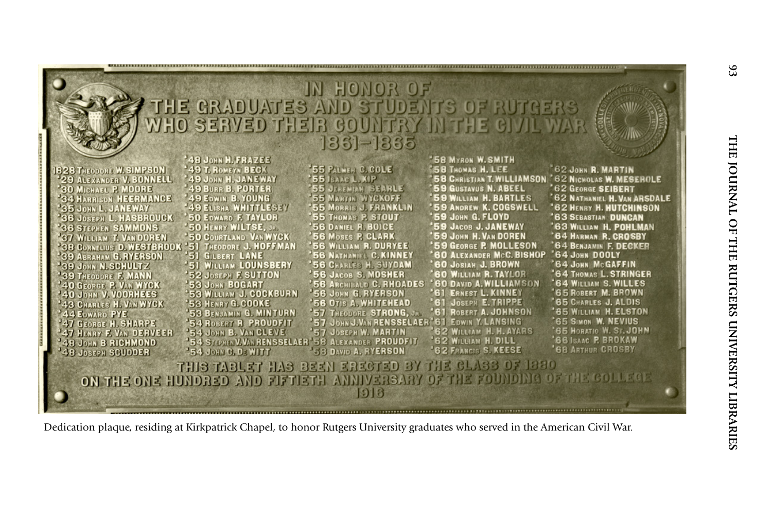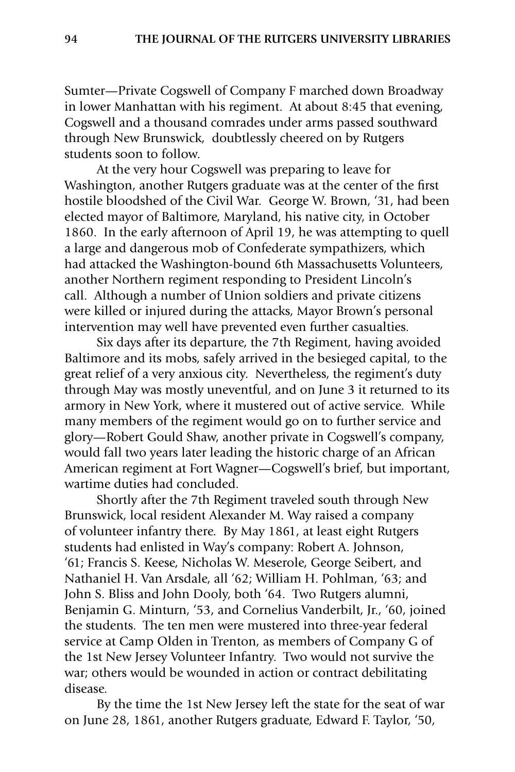Sumter—Private Cogswell of Company F marched down Broadway in lower Manhattan with his regiment. At about 8:45 that evening, Cogswell and a thousand comrades under arms passed southward through New Brunswick, doubtlessly cheered on by Rutgers students soon to follow.

 At the very hour Cogswell was preparing to leave for Washington, another Rutgers graduate was at the center of the first hostile bloodshed of the Civil War. George W. Brown, '31, had been elected mayor of Baltimore, Maryland, his native city, in October 1860. In the early afternoon of April 19, he was attempting to quell a large and dangerous mob of Confederate sympathizers, which had attacked the Washington-bound 6th Massachusetts Volunteers, another Northern regiment responding to President Lincoln's call. Although a number of Union soldiers and private citizens were killed or injured during the attacks, Mayor Brown's personal intervention may well have prevented even further casualties.

 Six days after its departure, the 7th Regiment, having avoided Baltimore and its mobs, safely arrived in the besieged capital, to the great relief of a very anxious city. Nevertheless, the regiment's duty through May was mostly uneventful, and on June 3 it returned to its armory in New York, where it mustered out of active service. While many members of the regiment would go on to further service and glory—Robert Gould Shaw, another private in Cogswell's company, would fall two years later leading the historic charge of an African American regiment at Fort Wagner—Cogswell's brief, but important, wartime duties had concluded.

 Shortly after the 7th Regiment traveled south through New Brunswick, local resident Alexander M. Way raised a company of volunteer infantry there. By May 1861, at least eight Rutgers students had enlisted in Way's company: Robert A. Johnson, '61; Francis S. Keese, Nicholas W. Meserole, George Seibert, and Nathaniel H. Van Arsdale, all '62; William H. Pohlman, '63; and John S. Bliss and John Dooly, both '64. Two Rutgers alumni, Benjamin G. Minturn, '53, and Cornelius Vanderbilt, Jr., '60, joined the students. The ten men were mustered into three-year federal service at Camp Olden in Trenton, as members of Company G of the 1st New Jersey Volunteer Infantry. Two would not survive the war; others would be wounded in action or contract debilitating disease.

By the time the 1st New Jersey left the state for the seat of war on June 28, 1861, another Rutgers graduate, Edward F. Taylor, '50,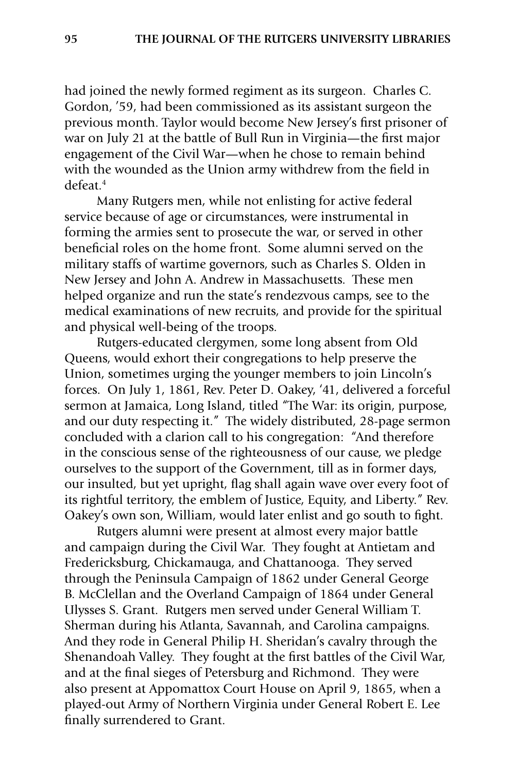had joined the newly formed regiment as its surgeon. Charles C. Gordon, '59, had been commissioned as its assistant surgeon the previous month. Taylor would become New Jersey's first prisoner of war on July 21 at the battle of Bull Run in Virginia—the first major engagement of the Civil War—when he chose to remain behind with the wounded as the Union army withdrew from the field in defeat.4

Many Rutgers men, while not enlisting for active federal service because of age or circumstances, were instrumental in forming the armies sent to prosecute the war, or served in other beneficial roles on the home front. Some alumni served on the military staffs of wartime governors, such as Charles S. Olden in New Jersey and John A. Andrew in Massachusetts. These men helped organize and run the state's rendezvous camps, see to the medical examinations of new recruits, and provide for the spiritual and physical well-being of the troops.

Rutgers-educated clergymen, some long absent from Old Queens, would exhort their congregations to help preserve the Union, sometimes urging the younger members to join Lincoln's forces. On July 1, 1861, Rev. Peter D. Oakey, '41, delivered a forceful sermon at Jamaica, Long Island, titled "The War: its origin, purpose, and our duty respecting it." The widely distributed, 28-page sermon concluded with a clarion call to his congregation: "And therefore in the conscious sense of the righteousness of our cause, we pledge ourselves to the support of the Government, till as in former days, our insulted, but yet upright, flag shall again wave over every foot of its rightful territory, the emblem of Justice, Equity, and Liberty." Rev. Oakey's own son, William, would later enlist and go south to fight.

Rutgers alumni were present at almost every major battle and campaign during the Civil War. They fought at Antietam and Fredericksburg, Chickamauga, and Chattanooga. They served through the Peninsula Campaign of 1862 under General George B. McClellan and the Overland Campaign of 1864 under General Ulysses S. Grant. Rutgers men served under General William T. Sherman during his Atlanta, Savannah, and Carolina campaigns. And they rode in General Philip H. Sheridan's cavalry through the Shenandoah Valley. They fought at the first battles of the Civil War, and at the final sieges of Petersburg and Richmond. They were also present at Appomattox Court House on April 9, 1865, when a played-out Army of Northern Virginia under General Robert E. Lee finally surrendered to Grant.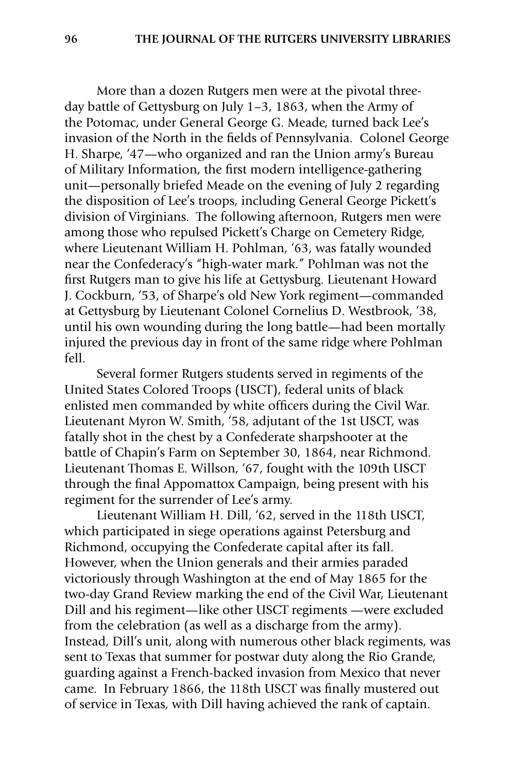More than a dozen Rutgers men were at the pivotal threeday battle of Gettysburg on July 1–3, 1863, when the Army of the Potomac, under General George G. Meade, turned back Lee's invasion of the North in the fields of Pennsylvania. Colonel George H. Sharpe, '47—who organized and ran the Union army's Bureau of Military Information, the first modern intelligence-gathering unit—personally briefed Meade on the evening of July 2 regarding the disposition of Lee's troops, including General George Pickett's division of Virginians. The following afternoon, Rutgers men were among those who repulsed Pickett's Charge on Cemetery Ridge, where Lieutenant William H. Pohlman, '63, was fatally wounded near the Confederacy's "high-water mark." Pohlman was not the first Rutgers man to give his life at Gettysburg. Lieutenant Howard J. Cockburn, '53, of Sharpe's old New York regiment—commanded at Gettysburg by Lieutenant Colonel Cornelius D. Westbrook, '38, until his own wounding during the long battle—had been mortally injured the previous day in front of the same ridge where Pohlman fell.

 Several former Rutgers students served in regiments of the United States Colored Troops (USCT), federal units of black enlisted men commanded by white officers during the Civil War. Lieutenant Myron W. Smith, '58, adjutant of the 1st USCT, was fatally shot in the chest by a Confederate sharpshooter at the battle of Chapin's Farm on September 30, 1864, near Richmond. Lieutenant Thomas E. Willson, '67, fought with the 109th USCT through the final Appomattox Campaign, being present with his regiment for the surrender of Lee's army.

 Lieutenant William H. Dill, '62, served in the 118th USCT, which participated in siege operations against Petersburg and Richmond, occupying the Confederate capital after its fall. However, when the Union generals and their armies paraded victoriously through Washington at the end of May 1865 for the two-day Grand Review marking the end of the Civil War, Lieutenant Dill and his regiment—like other USCT regiments —were excluded from the celebration (as well as a discharge from the army). Instead, Dill's unit, along with numerous other black regiments, was sent to Texas that summer for postwar duty along the Rio Grande, guarding against a French-backed invasion from Mexico that never came. In February 1866, the 118th USCT was finally mustered out of service in Texas, with Dill having achieved the rank of captain.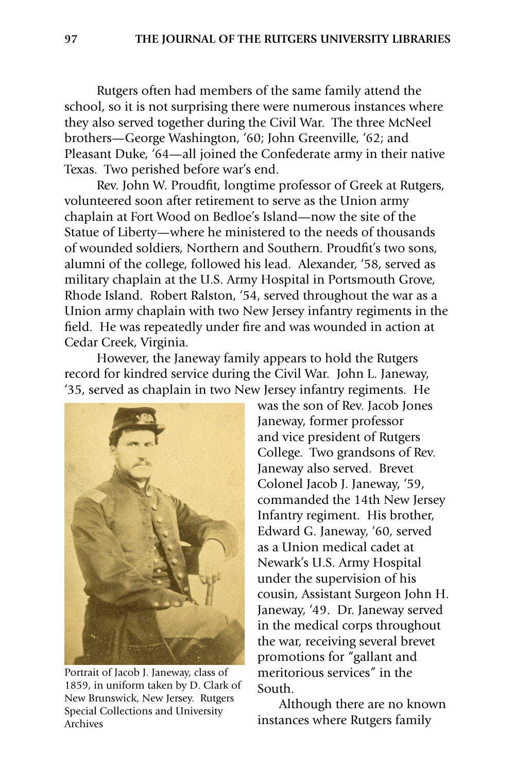Rutgers often had members of the same family attend the school, so it is not surprising there were numerous instances where they also served together during the Civil War. The three McNeel brothers—George Washington, '60; John Greenville, '62; and Pleasant Duke, '64—all joined the Confederate army in their native Texas. Two perished before war's end.

Rev. John W. Proudfit, longtime professor of Greek at Rutgers, volunteered soon after retirement to serve as the Union army chaplain at Fort Wood on Bedloe's Island—now the site of the Statue of Liberty—where he ministered to the needs of thousands of wounded soldiers, Northern and Southern. Proudfit's two sons, alumni of the college, followed his lead. Alexander, '58, served as military chaplain at the U.S. Army Hospital in Portsmouth Grove, Rhode Island. Robert Ralston, '54, served throughout the war as a Union army chaplain with two New Jersey infantry regiments in the field. He was repeatedly under fire and was wounded in action at Cedar Creek, Virginia.

 However, the Janeway family appears to hold the Rutgers record for kindred service during the Civil War. John L. Janeway, '35, served as chaplain in two New Jersey infantry regiments. He



Portrait of Jacob J. Janeway, class of 1859, in uniform taken by D. Clark of New Brunswick, New Jersey. Rutgers Special Collections and University Archives

was the son of Rev. Jacob Jones Janeway, former professor and vice president of Rutgers College. Two grandsons of Rev. Janeway also served. Brevet Colonel Jacob J. Janeway, '59, commanded the 14th New Jersey Infantry regiment. His brother, Edward G. Janeway, '60, served as a Union medical cadet at Newark's U.S. Army Hospital under the supervision of his cousin, Assistant Surgeon John H. Janeway, '49. Dr. Janeway served in the medical corps throughout the war, receiving several brevet promotions for "gallant and meritorious services" in the South.

 Although there are no known instances where Rutgers family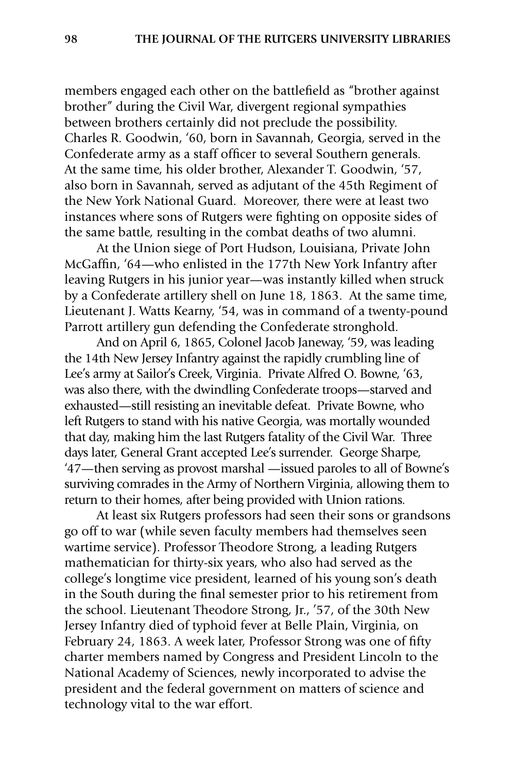members engaged each other on the battlefield as "brother against brother" during the Civil War, divergent regional sympathies between brothers certainly did not preclude the possibility. Charles R. Goodwin, '60, born in Savannah, Georgia, served in the Confederate army as a staff officer to several Southern generals. At the same time, his older brother, Alexander T. Goodwin, '57, also born in Savannah, served as adjutant of the 45th Regiment of the New York National Guard. Moreover, there were at least two instances where sons of Rutgers were fighting on opposite sides of the same battle, resulting in the combat deaths of two alumni.

 At the Union siege of Port Hudson, Louisiana, Private John McGaffin, '64—who enlisted in the 177th New York Infantry after leaving Rutgers in his junior year—was instantly killed when struck by a Confederate artillery shell on June 18, 1863. At the same time, Lieutenant J. Watts Kearny, '54, was in command of a twenty-pound Parrott artillery gun defending the Confederate stronghold.

 And on April 6, 1865, Colonel Jacob Janeway, '59, was leading the 14th New Jersey Infantry against the rapidly crumbling line of Lee's army at Sailor's Creek, Virginia. Private Alfred O. Bowne, '63, was also there, with the dwindling Confederate troops—starved and exhausted—still resisting an inevitable defeat. Private Bowne, who left Rutgers to stand with his native Georgia, was mortally wounded that day, making him the last Rutgers fatality of the Civil War. Three days later, General Grant accepted Lee's surrender. George Sharpe, '47—then serving as provost marshal —issued paroles to all of Bowne's surviving comrades in the Army of Northern Virginia, allowing them to return to their homes, after being provided with Union rations.

 At least six Rutgers professors had seen their sons or grandsons go off to war (while seven faculty members had themselves seen wartime service). Professor Theodore Strong, a leading Rutgers mathematician for thirty-six years, who also had served as the college's longtime vice president, learned of his young son's death in the South during the final semester prior to his retirement from the school. Lieutenant Theodore Strong, Jr., '57, of the 30th New Jersey Infantry died of typhoid fever at Belle Plain, Virginia, on February 24, 1863. A week later, Professor Strong was one of fifty charter members named by Congress and President Lincoln to the National Academy of Sciences, newly incorporated to advise the president and the federal government on matters of science and technology vital to the war effort.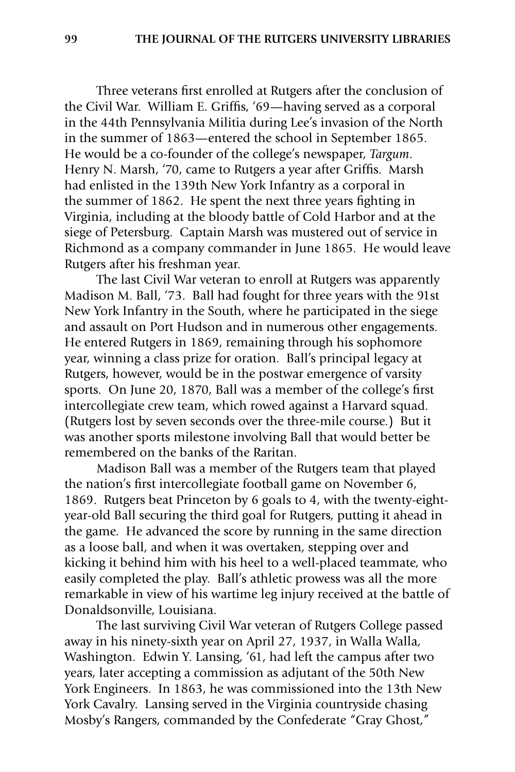Three veterans first enrolled at Rutgers after the conclusion of the Civil War. William E. Griffis, '69—having served as a corporal in the 44th Pennsylvania Militia during Lee's invasion of the North in the summer of 1863—entered the school in September 1865. He would be a co-founder of the college's newspaper, *Targum*. Henry N. Marsh, '70, came to Rutgers a year after Griffis. Marsh had enlisted in the 139th New York Infantry as a corporal in the summer of 1862. He spent the next three years fighting in Virginia, including at the bloody battle of Cold Harbor and at the siege of Petersburg. Captain Marsh was mustered out of service in Richmond as a company commander in June 1865. He would leave Rutgers after his freshman year.

 The last Civil War veteran to enroll at Rutgers was apparently Madison M. Ball, '73. Ball had fought for three years with the 91st New York Infantry in the South, where he participated in the siege and assault on Port Hudson and in numerous other engagements. He entered Rutgers in 1869, remaining through his sophomore year, winning a class prize for oration. Ball's principal legacy at Rutgers, however, would be in the postwar emergence of varsity sports. On June 20, 1870, Ball was a member of the college's first intercollegiate crew team, which rowed against a Harvard squad. (Rutgers lost by seven seconds over the three-mile course.) But it was another sports milestone involving Ball that would better be remembered on the banks of the Raritan.

Madison Ball was a member of the Rutgers team that played the nation's first intercollegiate football game on November 6, 1869. Rutgers beat Princeton by 6 goals to 4, with the twenty-eightyear-old Ball securing the third goal for Rutgers, putting it ahead in the game. He advanced the score by running in the same direction as a loose ball, and when it was overtaken, stepping over and kicking it behind him with his heel to a well-placed teammate, who easily completed the play. Ball's athletic prowess was all the more remarkable in view of his wartime leg injury received at the battle of Donaldsonville, Louisiana.

 The last surviving Civil War veteran of Rutgers College passed away in his ninety-sixth year on April 27, 1937, in Walla Walla, Washington. Edwin Y. Lansing, '61, had left the campus after two years, later accepting a commission as adjutant of the 50th New York Engineers. In 1863, he was commissioned into the 13th New York Cavalry. Lansing served in the Virginia countryside chasing Mosby's Rangers, commanded by the Confederate "Gray Ghost,"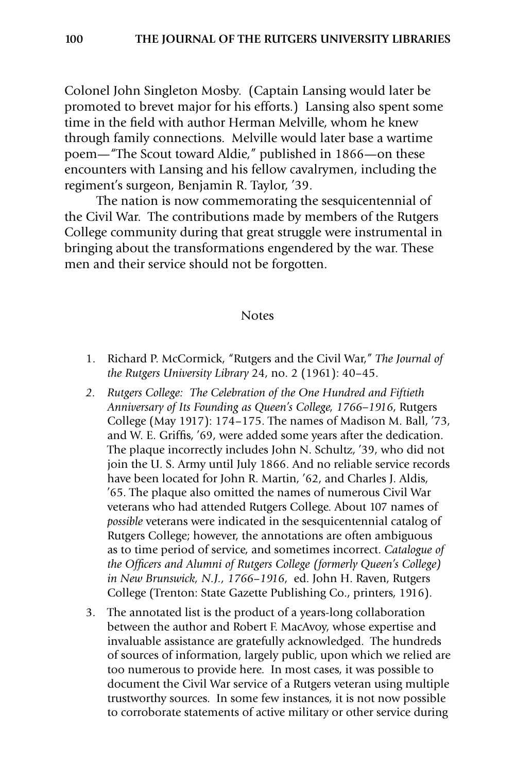Colonel John Singleton Mosby. (Captain Lansing would later be promoted to brevet major for his efforts.) Lansing also spent some time in the field with author Herman Melville, whom he knew through family connections. Melville would later base a wartime poem—"The Scout toward Aldie," published in 1866—on these encounters with Lansing and his fellow cavalrymen, including the regiment's surgeon, Benjamin R. Taylor, '39.

 The nation is now commemorating the sesquicentennial of the Civil War. The contributions made by members of the Rutgers College community during that great struggle were instrumental in bringing about the transformations engendered by the war. These men and their service should not be forgotten.

#### **Notes**

- 1. Richard P. McCormick, "Rutgers and the Civil War," *The Journal of the Rutgers University Library* 24, no. 2 (1961): 40–45.
- *2. Rutgers College: The Celebration of the One Hundred and Fiftieth Anniversary of Its Founding as Queen's College, 1766–1916*, Rutgers College (May 1917): 174–175. The names of Madison M. Ball, '73, and W. E. Griffis, '69, were added some years after the dedication. The plaque incorrectly includes John N. Schultz, '39, who did not join the U. S. Army until July 1866. And no reliable service records have been located for John R. Martin, '62, and Charles J. Aldis, '65. The plaque also omitted the names of numerous Civil War veterans who had attended Rutgers College. About 107 names of *possible* veterans were indicated in the sesquicentennial catalog of Rutgers College; however, the annotations are often ambiguous as to time period of service, and sometimes incorrect. *Catalogue of the Officers and Alumni of Rutgers College (formerly Queen's College) in New Brunswick, N.J., 1766*–*1916*, ed. John H. Raven, Rutgers College (Trenton: State Gazette Publishing Co., printers, 1916).
- 3. The annotated list is the product of a years-long collaboration between the author and Robert F. MacAvoy, whose expertise and invaluable assistance are gratefully acknowledged. The hundreds of sources of information, largely public, upon which we relied are too numerous to provide here. In most cases, it was possible to document the Civil War service of a Rutgers veteran using multiple trustworthy sources. In some few instances, it is not now possible to corroborate statements of active military or other service during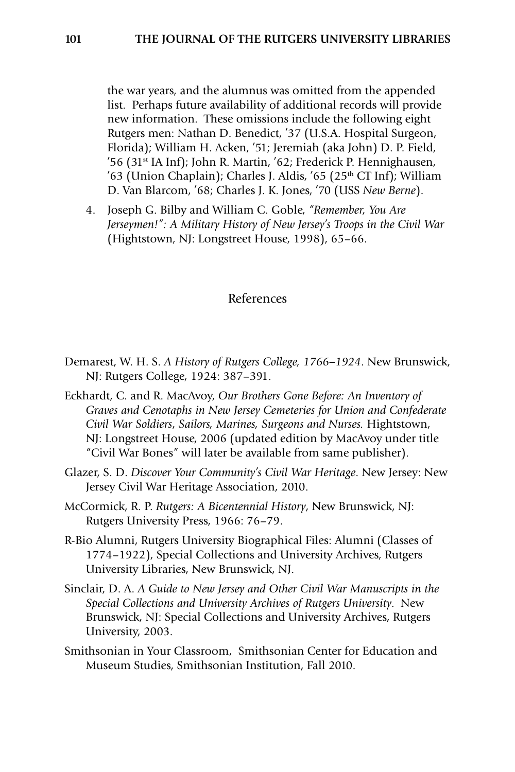the war years, and the alumnus was omitted from the appended list. Perhaps future availability of additional records will provide new information. These omissions include the following eight Rutgers men: Nathan D. Benedict, '37 (U.S.A. Hospital Surgeon, Florida); William H. Acken, '51; Jeremiah (aka John) D. P. Field, '56 (31st IA Inf); John R. Martin, '62; Frederick P. Hennighausen,  $'63$  (Union Chaplain); Charles J. Aldis,  $'65$  (25<sup>th</sup> CT Inf); William D. Van Blarcom, '68; Charles J. K. Jones, '70 (USS *New Berne*).

4. Joseph G. Bilby and William C. Goble, *"Remember, You Are Jerseymen!": A Military History of New Jersey's Troops in the Civil War* (Hightstown, NJ: Longstreet House, 1998), 65–66.

### References

- Demarest, W. H. S. *A History of Rutgers College, 1766–1924*. New Brunswick, NJ: Rutgers College, 1924: 387–391.
- Eckhardt, C. and R. MacAvoy, *Our Brothers Gone Before: An Inventory of Graves and Cenotaphs in New Jersey Cemeteries for Union and Confederate Civil War Soldiers*, *Sailors, Marines, Surgeons and Nurses.* Hightstown, NJ: Longstreet House, 2006 (updated edition by MacAvoy under title "Civil War Bones" will later be available from same publisher).
- Glazer, S. D. *Discover Your Community's Civil War Heritage*. New Jersey: New Jersey Civil War Heritage Association, 2010.
- McCormick, R. P. *Rutgers: A Bicentennial History*, New Brunswick, NJ: Rutgers University Press, 1966: 76–79.
- R-Bio Alumni, Rutgers University Biographical Files: Alumni (Classes of 1774–1922), Special Collections and University Archives, Rutgers University Libraries, New Brunswick, NJ.
- Sinclair, D. A. *A Guide to New Jersey and Other Civil War Manuscripts in the Special Collections and University Archives of Rutgers University*. New Brunswick, NJ: Special Collections and University Archives, Rutgers University, 2003.
- Smithsonian in Your Classroom, Smithsonian Center for Education and Museum Studies, Smithsonian Institution, Fall 2010.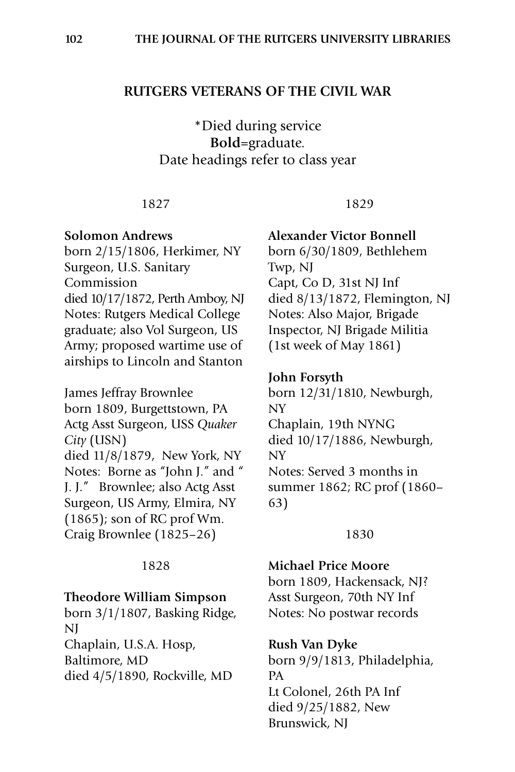### **Rutgers Veterans of the Civil War**

\*Died during service **Bold**=graduate. Date headings refer to class year

#### 1827

#### **Solomon Andrews**

born 2/15/1806, Herkimer, NY Surgeon, U.S. Sanitary Commission died 10/17/1872, Perth Amboy, NJ Notes: Rutgers Medical College graduate; also Vol Surgeon, US Army; proposed wartime use of airships to Lincoln and Stanton

James Jeffray Brownlee born 1809, Burgettstown, PA Actg Asst Surgeon, USS *Quaker City* (USN) died 11/8/1879, New York, NY Notes: Borne as "John J." and " J. J." Brownlee; also Actg Asst Surgeon, US Army, Elmira, NY (1865); son of RC prof Wm. Craig Brownlee (1825–26)

#### 1828

### **Theodore William Simpson**

born 3/1/1807, Basking Ridge, NJ Chaplain, U.S.A. Hosp,

Baltimore, MD died 4/5/1890, Rockville, MD

# **Alexander Victor Bonnell**

1829

born 6/30/1809, Bethlehem Twp, NJ Capt, Co D, 31st NJ Inf died 8/13/1872, Flemington, NJ Notes: Also Major, Brigade Inspector, NJ Brigade Militia (1st week of May 1861)

#### **John Forsyth**

born 12/31/1810, Newburgh, NY Chaplain, 19th NYNG died 10/17/1886, Newburgh, NY Notes: Served 3 months in summer 1862; RC prof (1860– 63)

#### 1830

### **Michael Price Moore**

born 1809, Hackensack, NJ? Asst Surgeon, 70th NY Inf Notes: No postwar records

#### **Rush Van Dyke**

born 9/9/1813, Philadelphia, PA Lt Colonel, 26th PA Inf died 9/25/1882, New Brunswick, NJ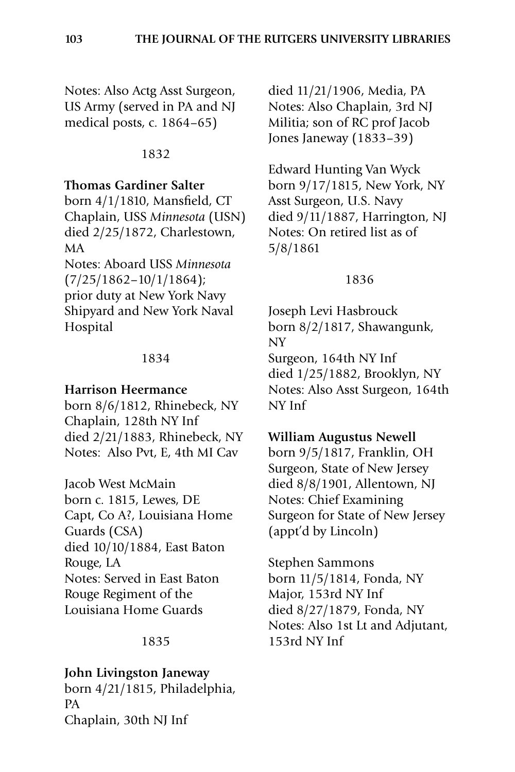Notes: Also Actg Asst Surgeon, US Army (served in PA and NJ medical posts, c. 1864–65)

### 1832

### **Thomas Gardiner Salter**

born 4/1/1810, Mansfield, CT Chaplain, USS *Minnesota* (USN) died 2/25/1872, Charlestown, MA

Notes: Aboard USS *Minnesota* (7/25/1862–10/1/1864); prior duty at New York Navy Shipyard and New York Naval Hospital

### 1834

### **Harrison Heermance**

born 8/6/1812, Rhinebeck, NY Chaplain, 128th NY Inf died 2/21/1883, Rhinebeck, NY Notes: Also Pvt, E, 4th MI Cav

Jacob West McMain born c. 1815, Lewes, DE Capt, Co A?, Louisiana Home Guards (CSA) died 10/10/1884, East Baton Rouge, LA Notes: Served in East Baton Rouge Regiment of the Louisiana Home Guards

### 1835

### **John Livingston Janeway**

born 4/21/1815, Philadelphia, PA Chaplain, 30th NJ Inf

died 11/21/1906, Media, PA Notes: Also Chaplain, 3rd NJ Militia; son of RC prof Jacob Jones Janeway (1833–39)

Edward Hunting Van Wyck born 9/17/1815, New York, NY Asst Surgeon, U.S. Navy died 9/11/1887, Harrington, NJ Notes: On retired list as of 5/8/1861

### 1836

Joseph Levi Hasbrouck born 8/2/1817, Shawangunk, NY Surgeon, 164th NY Inf died 1/25/1882, Brooklyn, NY Notes: Also Asst Surgeon, 164th NY Inf

### **William Augustus Newell**

born 9/5/1817, Franklin, OH Surgeon, State of New Jersey died 8/8/1901, Allentown, NJ Notes: Chief Examining Surgeon for State of New Jersey (appt'd by Lincoln)

Stephen Sammons born 11/5/1814, Fonda, NY Major, 153rd NY Inf died 8/27/1879, Fonda, NY Notes: Also 1st Lt and Adjutant, 153rd NY Inf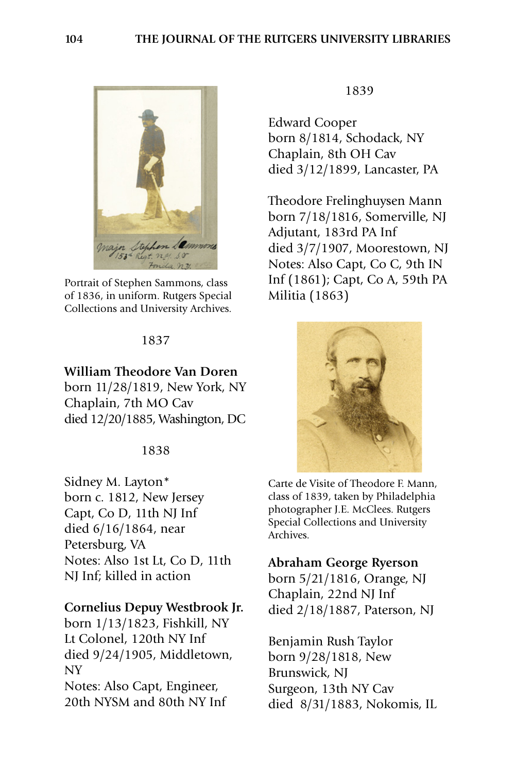

Portrait of Stephen Sammons, class of 1836, in uniform. Rutgers Special Collections and University Archives.

### **William Theodore Van Doren**

born 11/28/1819, New York, NY Chaplain, 7th MO Cav died 12/20/1885, Washington, DC

#### 1838

Sidney M. Layton\* born c. 1812, New Jersey Capt, Co D, 11th NJ Inf died 6/16/1864, near Petersburg, VA Notes: Also 1st Lt, Co D, 11th NJ Inf; killed in action

#### **Cornelius Depuy Westbrook Jr.**

born 1/13/1823, Fishkill, NY Lt Colonel, 120th NY Inf died 9/24/1905, Middletown, NY Notes: Also Capt, Engineer, 20th NYSM and 80th NY Inf

#### 1839

Edward Cooper born 8/1814, Schodack, NY Chaplain, 8th OH Cav died 3/12/1899, Lancaster, PA

Theodore Frelinghuysen Mann born 7/18/1816, Somerville, NJ Adjutant, 183rd PA Inf died 3/7/1907, Moorestown, NJ Notes: Also Capt, Co C, 9th IN Inf (1861); Capt, Co A, 59th PA Militia (1863)



Carte de Visite of Theodore F. Mann, class of 1839, taken by Philadelphia photographer J.E. McClees. Rutgers Special Collections and University Archives.

**Abraham George Ryerson**

born 5/21/1816, Orange, NJ Chaplain, 22nd NJ Inf died 2/18/1887, Paterson, NJ

Benjamin Rush Taylor born 9/28/1818, New Brunswick, NJ Surgeon, 13th NY Cav died 8/31/1883, Nokomis, IL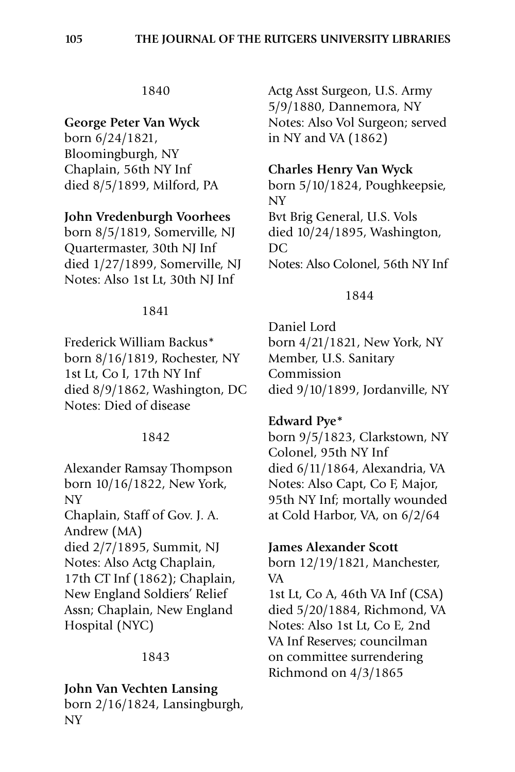# **George Peter Van Wyck**

born 6/24/1821, Bloomingburgh, NY Chaplain, 56th NY Inf died 8/5/1899, Milford, PA

# **John Vredenburgh Voorhees**

born 8/5/1819, Somerville, NJ Quartermaster, 30th NJ Inf died 1/27/1899, Somerville, NJ Notes: Also 1st Lt, 30th NJ Inf

### 1841

Frederick William Backus\* born 8/16/1819, Rochester, NY 1st Lt, Co I, 17th NY Inf died 8/9/1862, Washington, DC Notes: Died of disease

### 1842

Alexander Ramsay Thompson born 10/16/1822, New York, NY Chaplain, Staff of Gov. J. A. Andrew (MA) died 2/7/1895, Summit, NJ

Notes: Also Actg Chaplain, 17th CT Inf (1862); Chaplain, New England Soldiers' Relief Assn; Chaplain, New England Hospital (NYC)

# 1843

### **John Van Vechten Lansing**

born 2/16/1824, Lansingburgh, NY

Actg Asst Surgeon, U.S. Army 5/9/1880, Dannemora, NY Notes: Also Vol Surgeon; served in NY and VA (1862)

# **Charles Henry Van Wyck**

born 5/10/1824, Poughkeepsie, NY Bvt Brig General, U.S. Vols died 10/24/1895, Washington, DC Notes: Also Colonel, 56th NY Inf

### 1844

Daniel Lord born 4/21/1821, New York, NY Member, U.S. Sanitary Commission died 9/10/1899, Jordanville, NY

# **Edward Pye\***

born 9/5/1823, Clarkstown, NY Colonel, 95th NY Inf died 6/11/1864, Alexandria, VA Notes: Also Capt, Co F, Major, 95th NY Inf; mortally wounded at Cold Harbor, VA, on 6/2/64

# **James Alexander Scott**

born 12/19/1821, Manchester, VA

1st Lt, Co A, 46th VA Inf (CSA) died 5/20/1884, Richmond, VA Notes: Also 1st Lt, Co E, 2nd VA Inf Reserves; councilman on committee surrendering Richmond on 4/3/1865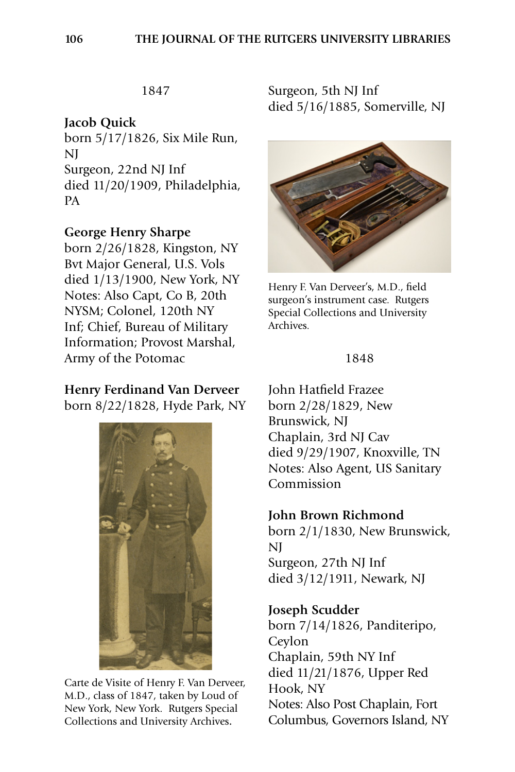# **Jacob Quick**

born 5/17/1826, Six Mile Run, NJ Surgeon, 22nd NJ Inf died 11/20/1909, Philadelphia, PA

# **George Henry Sharpe**

born 2/26/1828, Kingston, NY Bvt Major General, U.S. Vols died 1/13/1900, New York, NY Notes: Also Capt, Co B, 20th NYSM; Colonel, 120th NY Inf; Chief, Bureau of Military Information; Provost Marshal, Army of the Potomac

# **Henry Ferdinand Van Derveer**

born 8/22/1828, Hyde Park, NY



Carte de Visite of Henry F. Van Derveer, M.D., class of 1847, taken by Loud of New York, New York.Rutgers Special Collections and University Archives**.**

Surgeon, 5th NJ Inf died 5/16/1885, Somerville, NJ



Henry F. Van Derveer's, M.D., field surgeon's instrument case. Rutgers Special Collections and University Archives.

#### 1848

John Hatfield Frazee born 2/28/1829, New Brunswick, NJ Chaplain, 3rd NJ Cav died 9/29/1907, Knoxville, TN Notes: Also Agent, US Sanitary Commission

### **John Brown Richmond**

born 2/1/1830, New Brunswick, NJ Surgeon, 27th NJ Inf died 3/12/1911, Newark, NJ

### **Joseph Scudder**

born 7/14/1826, Panditeripo, Ceylon Chaplain, 59th NY Inf died 11/21/1876, Upper Red Hook, NY Notes: Also Post Chaplain, Fort Columbus, Governors Island, NY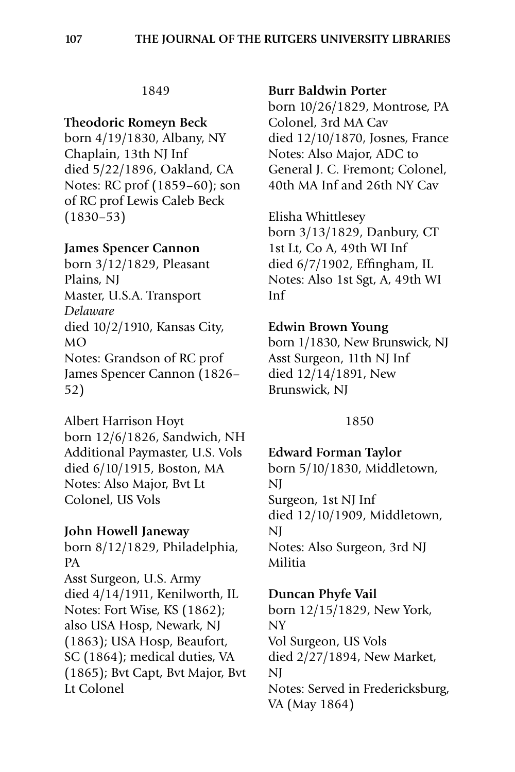### **Theodoric Romeyn Beck**

born 4/19/1830, Albany, NY Chaplain, 13th NJ Inf died 5/22/1896, Oakland, CA Notes: RC prof (1859–60); son of RC prof Lewis Caleb Beck (1830–53)

# **James Spencer Cannon**

born 3/12/1829, Pleasant Plains, NJ Master, U.S.A. Transport *Delaware* died 10/2/1910, Kansas City, MO Notes: Grandson of RC prof James Spencer Cannon (1826– 52)

Albert Harrison Hoyt born 12/6/1826, Sandwich, NH Additional Paymaster, U.S. Vols died 6/10/1915, Boston, MA Notes: Also Major, Bvt Lt Colonel, US Vols

### **John Howell Janeway**

born 8/12/1829, Philadelphia, PA Asst Surgeon, U.S. Army died 4/14/1911, Kenilworth, IL Notes: Fort Wise, KS (1862); also USA Hosp, Newark, NJ (1863); USA Hosp, Beaufort, SC (1864); medical duties, VA (1865); Bvt Capt, Bvt Major, Bvt Lt Colonel

#### **Burr Baldwin Porter**

born 10/26/1829, Montrose, PA Colonel, 3rd MA Cav died 12/10/1870, Josnes, France Notes: Also Major, ADC to General J. C. Fremont; Colonel, 40th MA Inf and 26th NY Cav

Elisha Whittlesey born 3/13/1829, Danbury, CT 1st Lt, Co A, 49th WI Inf died 6/7/1902, Effingham, IL Notes: Also 1st Sgt, A, 49th WI Inf

### **Edwin Brown Young**

born 1/1830, New Brunswick, NJ Asst Surgeon, 11th NJ Inf died 12/14/1891, New Brunswick, NJ

### 1850

**Edward Forman Taylor** born 5/10/1830, Middletown, NJ Surgeon, 1st NJ Inf died 12/10/1909, Middletown, NJ Notes: Also Surgeon, 3rd NJ Militia

**Duncan Phyfe Vail**

born 12/15/1829, New York, NY Vol Surgeon, US Vols died 2/27/1894, New Market, NJ Notes: Served in Fredericksburg, VA (May 1864)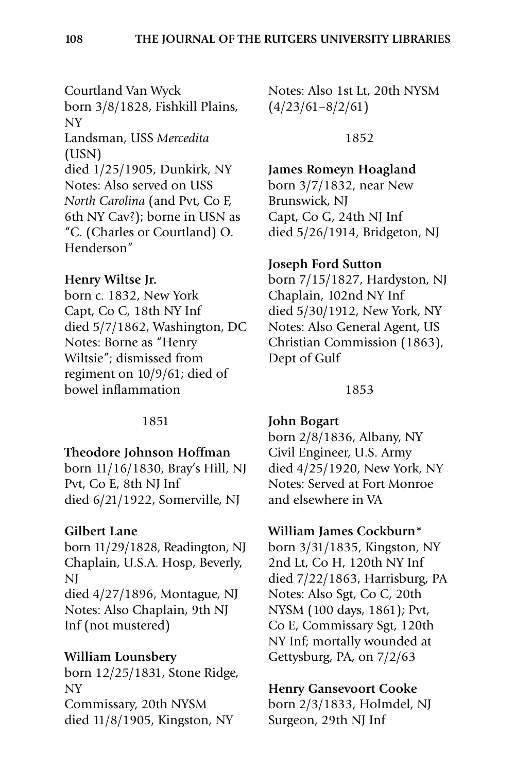Courtland Van Wyck born 3/8/1828, Fishkill Plains, NY Landsman, USS *Mercedita* (USN) died 1/25/1905, Dunkirk, NY Notes: Also served on USS *North Carolina* (and Pvt, Co F, 6th NY Cav?); borne in USN as "C. (Charles or Courtland) O. Henderson"

### **Henry Wiltse Jr.**

born c. 1832, New York Capt, Co C, 18th NY Inf died 5/7/1862, Washington, DC Notes: Borne as "Henry Wiltsie"; dismissed from regiment on 10/9/61; died of bowel inflammation

#### 1851

#### **Theodore Johnson Hoffman**

born 11/16/1830, Bray's Hill, NJ Pvt, Co E, 8th NJ Inf died 6/21/1922, Somerville, NJ

### **Gilbert Lane**

born 11/29/1828, Readington, NJ Chaplain, U.S.A. Hosp, Beverly, NJ died 4/27/1896, Montague, NJ Notes: Also Chaplain, 9th NJ Inf (not mustered)

### **William Lounsbery**

born 12/25/1831, Stone Ridge, NY Commissary, 20th NYSM died 11/8/1905, Kingston, NY

Notes: Also 1st Lt, 20th NYSM  $(4/23/61-8/2/61)$ 

1852

### **James Romeyn Hoagland**

born 3/7/1832, near New Brunswick, NJ Capt, Co G, 24th NJ Inf died 5/26/1914, Bridgeton, NJ

#### **Joseph Ford Sutton**

born 7/15/1827, Hardyston, NJ Chaplain, 102nd NY Inf died 5/30/1912, New York, NY Notes: Also General Agent, US Christian Commission (1863), Dept of Gulf

#### 1853

#### **John Bogart**

born 2/8/1836, Albany, NY Civil Engineer, U.S. Army died 4/25/1920, New York, NY Notes: Served at Fort Monroe and elsewhere in VA

#### **William James Cockburn\***

born 3/31/1835, Kingston, NY 2nd Lt, Co H, 120th NY Inf died 7/22/1863, Harrisburg, PA Notes: Also Sgt, Co C, 20th NYSM (100 days, 1861); Pvt, Co E, Commissary Sgt, 120th NY Inf; mortally wounded at Gettysburg, PA, on 7/2/63

#### **Henry Gansevoort Cooke**

born 2/3/1833, Holmdel, NJ Surgeon, 29th NJ Inf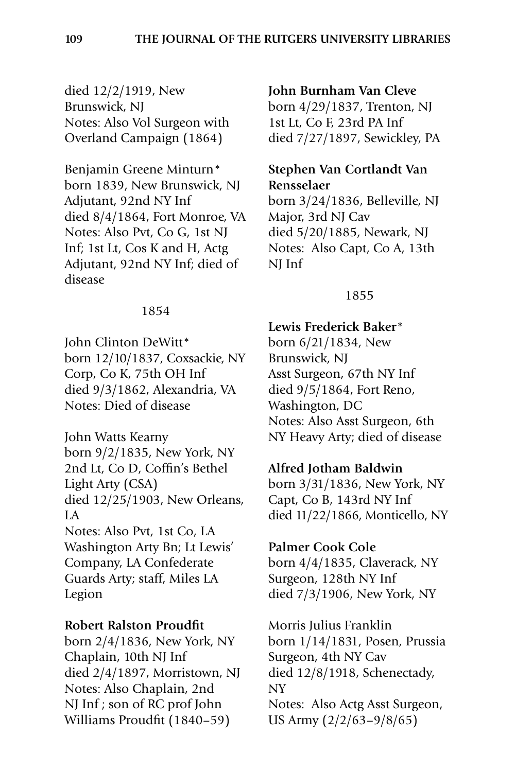died 12/2/1919, New Brunswick, NJ Notes: Also Vol Surgeon with Overland Campaign (1864)

Benjamin Greene Minturn\* born 1839, New Brunswick, NJ Adjutant, 92nd NY Inf died 8/4/1864, Fort Monroe, VA Notes: Also Pvt, Co G, 1st NJ Inf; 1st Lt, Cos K and H, Actg Adjutant, 92nd NY Inf; died of disease

### 1854

John Clinton DeWitt\* born 12/10/1837, Coxsackie, NY Corp, Co K, 75th OH Inf died 9/3/1862, Alexandria, VA Notes: Died of disease

John Watts Kearny born 9/2/1835, New York, NY 2nd Lt, Co D, Coffin's Bethel Light Arty (CSA) died 12/25/1903, New Orleans, LA Notes: Also Pvt, 1st Co, LA Washington Arty Bn; Lt Lewis' Company, LA Confederate Guards Arty; staff, Miles LA Legion

### **Robert Ralston Proudfit**

born 2/4/1836, New York, NY Chaplain, 10th NJ Inf died 2/4/1897, Morristown, NJ Notes: Also Chaplain, 2nd NJ Inf ; son of RC prof John Williams Proudfit (1840–59)

#### **John Burnham Van Cleve**

born 4/29/1837, Trenton, NJ 1st Lt, Co F, 23rd PA Inf died 7/27/1897, Sewickley, PA

# **Stephen Van Cortlandt Van Rensselaer**

born 3/24/1836, Belleville, NJ Major, 3rd NJ Cav died 5/20/1885, Newark, NJ Notes: Also Capt, Co A, 13th NJ Inf

#### 1855

### **Lewis Frederick Baker**\*

born 6/21/1834, New Brunswick, NJ Asst Surgeon, 67th NY Inf died 9/5/1864, Fort Reno, Washington, DC Notes: Also Asst Surgeon, 6th NY Heavy Arty; died of disease

### **Alfred Jotham Baldwin**

born 3/31/1836, New York, NY Capt, Co B, 143rd NY Inf died 11/22/1866, Monticello, NY

### **Palmer Cook Cole**

born 4/4/1835, Claverack, NY Surgeon, 128th NY Inf died 7/3/1906, New York, NY

Morris Julius Franklin born 1/14/1831, Posen, Prussia Surgeon, 4th NY Cav died 12/8/1918, Schenectady, NY Notes: Also Actg Asst Surgeon, US Army (2/2/63–9/8/65)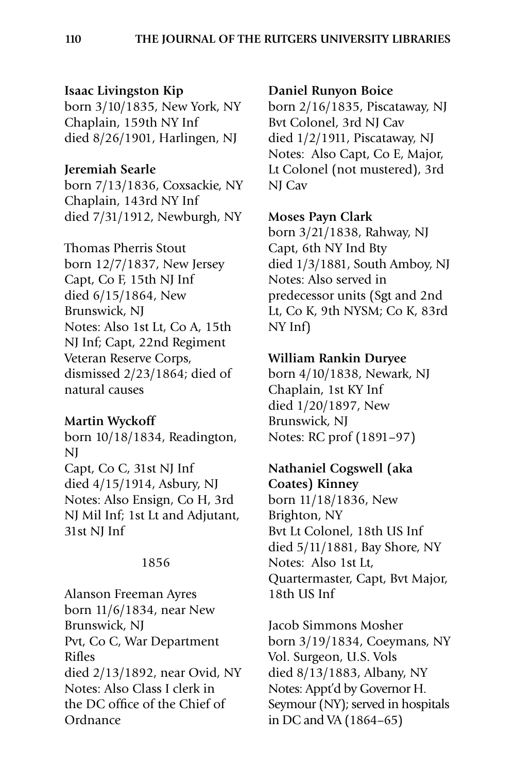### **Isaac Livingston Kip**

born 3/10/1835, New York, NY Chaplain, 159th NY Inf died 8/26/1901, Harlingen, NJ

### **Jeremiah Searle**

born 7/13/1836, Coxsackie, NY Chaplain, 143rd NY Inf died 7/31/1912, Newburgh, NY

Thomas Pherris Stout born 12/7/1837, New Jersey Capt, Co F, 15th NJ Inf died 6/15/1864, New Brunswick, NJ Notes: Also 1st Lt, Co A, 15th NJ Inf; Capt, 22nd Regiment Veteran Reserve Corps, dismissed 2/23/1864; died of natural causes

### **Martin Wyckoff**

born 10/18/1834, Readington, NJ Capt, Co C, 31st NJ Inf died 4/15/1914, Asbury, NJ Notes: Also Ensign, Co H, 3rd NJ Mil Inf; 1st Lt and Adjutant, 31st NJ Inf

#### 1856

Alanson Freeman Ayres born 11/6/1834, near New Brunswick, NJ Pvt, Co C, War Department Rifles died 2/13/1892, near Ovid, NY Notes: Also Class I clerk in the DC office of the Chief of Ordnance

#### **Daniel Runyon Boice**

born 2/16/1835, Piscataway, NJ Bvt Colonel, 3rd NJ Cav died 1/2/1911, Piscataway, NJ Notes: Also Capt, Co E, Major, Lt Colonel (not mustered), 3rd NJ Cav

#### **Moses Payn Clark**

born 3/21/1838, Rahway, NJ Capt, 6th NY Ind Bty died 1/3/1881, South Amboy, NJ Notes: Also served in predecessor units (Sgt and 2nd Lt, Co K, 9th NYSM; Co K, 83rd NY Inf)

# **William Rankin Duryee**

born 4/10/1838, Newark, NJ Chaplain, 1st KY Inf died 1/20/1897, New Brunswick, NJ Notes: RC prof (1891–97)

# **Nathaniel Cogswell (aka Coates) Kinney**

born 11/18/1836, New Brighton, NY Bvt Lt Colonel, 18th US Inf died 5/11/1881, Bay Shore, NY Notes: Also 1st Lt, Quartermaster, Capt, Bvt Major, 18th US Inf

Jacob Simmons Mosher born 3/19/1834, Coeymans, NY Vol. Surgeon, U.S. Vols died 8/13/1883, Albany, NY Notes: Appt'd by Governor H. Seymour (NY); served in hospitals in DC and VA (1864–65)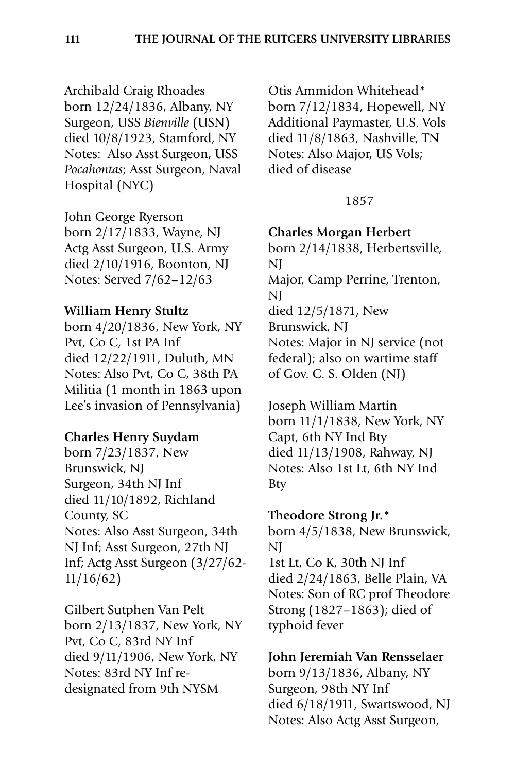Archibald Craig Rhoades born 12/24/1836, Albany, NY Surgeon, USS *Bienville* (USN) died 10/8/1923, Stamford, NY Notes: Also Asst Surgeon, USS *Pocahontas*; Asst Surgeon, Naval Hospital (NYC)

John George Ryerson born 2/17/1833, Wayne, NJ Actg Asst Surgeon, U.S. Army died 2/10/1916, Boonton, NJ Notes: Served 7/62–12/63

### **William Henry Stultz**

born 4/20/1836, New York, NY Pvt, Co C, 1st PA Inf died 12/22/1911, Duluth, MN Notes: Also Pvt, Co C, 38th PA Militia (1 month in 1863 upon Lee's invasion of Pennsylvania)

### **Charles Henry Suydam**

born 7/23/1837, New Brunswick, NJ Surgeon, 34th NJ Inf died 11/10/1892, Richland County, SC Notes: Also Asst Surgeon, 34th NJ Inf; Asst Surgeon, 27th NJ Inf; Actg Asst Surgeon (3/27/62- 11/16/62)

Gilbert Sutphen Van Pelt born 2/13/1837, New York, NY Pvt, Co C, 83rd NY Inf died 9/11/1906, New York, NY Notes: 83rd NY Inf redesignated from 9th NYSM

Otis Ammidon Whitehead\* born 7/12/1834, Hopewell, NY Additional Paymaster, U.S. Vols died 11/8/1863, Nashville, TN Notes: Also Major, US Vols; died of disease

#### 1857

#### **Charles Morgan Herbert**

born 2/14/1838, Herbertsville, NJ Major, Camp Perrine, Trenton, NJ died 12/5/1871, New Brunswick, NJ Notes: Major in NJ service (not federal); also on wartime staff of Gov. C. S. Olden (NJ)

Joseph William Martin born 11/1/1838, New York, NY Capt, 6th NY Ind Bty died 11/13/1908, Rahway, NJ Notes: Also 1st Lt, 6th NY Ind Bty

### **Theodore Strong Jr.\***

born 4/5/1838, New Brunswick, NJ

1st Lt, Co K, 30th NJ Inf died 2/24/1863, Belle Plain, VA Notes: Son of RC prof Theodore Strong (1827–1863); died of typhoid fever

### **John Jeremiah Van Rensselaer**

born 9/13/1836, Albany, NY Surgeon, 98th NY Inf died 6/18/1911, Swartswood, NJ Notes: Also Actg Asst Surgeon,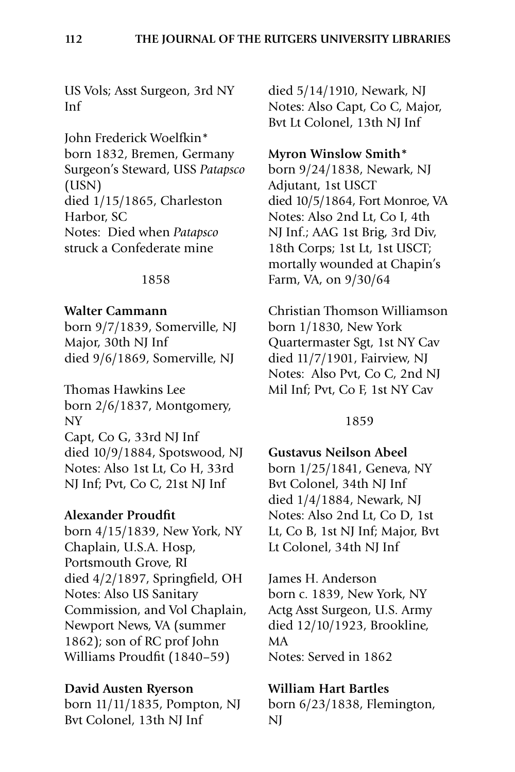US Vols; Asst Surgeon, 3rd NY Inf

John Frederick Woelfkin\* born 1832, Bremen, Germany Surgeon's Steward, USS *Patapsco* (USN) died 1/15/1865, Charleston Harbor, SC Notes: Died when *Patapsco* struck a Confederate mine

#### 1858

#### **Walter Cammann**

born 9/7/1839, Somerville, NJ Major, 30th NJ Inf died 9/6/1869, Somerville, NJ

Thomas Hawkins Lee born 2/6/1837, Montgomery, NY Capt, Co G, 33rd NJ Inf died 10/9/1884, Spotswood, NJ Notes: Also 1st Lt, Co H, 33rd NJ Inf; Pvt, Co C, 21st NJ Inf

### **Alexander Proudfit**

born 4/15/1839, New York, NY Chaplain, U.S.A. Hosp, Portsmouth Grove, RI died 4/2/1897, Springfield, OH Notes: Also US Sanitary Commission, and Vol Chaplain, Newport News, VA (summer 1862); son of RC prof John Williams Proudfit (1840–59)

#### **David Austen Ryerson**

born 11/11/1835, Pompton, NJ Bvt Colonel, 13th NJ Inf

died 5/14/1910, Newark, NJ Notes: Also Capt, Co C, Major, Bvt Lt Colonel, 13th NJ Inf

#### **Myron Winslow Smith\***

born 9/24/1838, Newark, NJ Adjutant, 1st USCT died 10/5/1864, Fort Monroe, VA Notes: Also 2nd Lt, Co I, 4th NJ Inf.; AAG 1st Brig, 3rd Div, 18th Corps; 1st Lt, 1st USCT; mortally wounded at Chapin's Farm, VA, on 9/30/64

Christian Thomson Williamson born 1/1830, New York Quartermaster Sgt, 1st NY Cav died 11/7/1901, Fairview, NJ Notes: Also Pvt, Co C, 2nd NJ Mil Inf; Pvt, Co F, 1st NY Cav

#### 1859

**Gustavus Neilson Abeel** born 1/25/1841, Geneva, NY Bvt Colonel, 34th NJ Inf died 1/4/1884, Newark, NJ Notes: Also 2nd Lt, Co D, 1st Lt, Co B, 1st NJ Inf; Major, Bvt Lt Colonel, 34th NJ Inf

James H. Anderson born c. 1839, New York, NY Actg Asst Surgeon, U.S. Army died 12/10/1923, Brookline, MA Notes: Served in 1862

### **William Hart Bartles**

born 6/23/1838, Flemington, NJ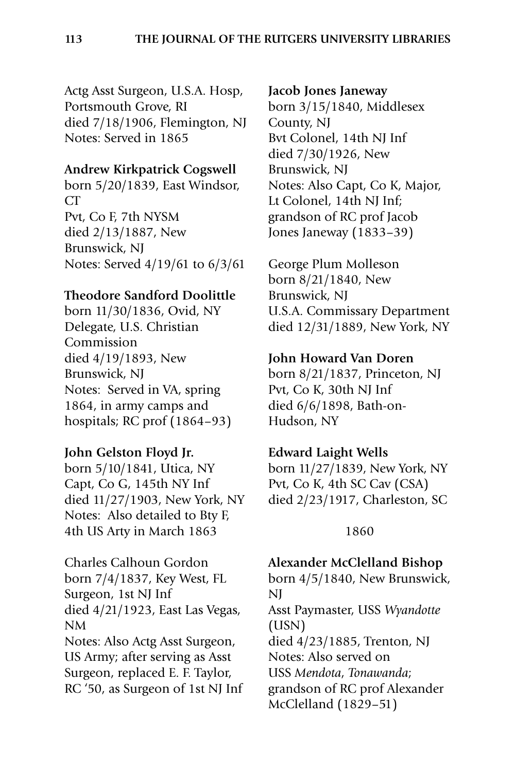Actg Asst Surgeon, U.S.A. Hosp, Portsmouth Grove, RI died 7/18/1906, Flemington, NJ Notes: Served in 1865

#### **Andrew Kirkpatrick Cogswell**

born 5/20/1839, East Windsor, CT Pvt, Co F, 7th NYSM died 2/13/1887, New Brunswick, NJ Notes: Served 4/19/61 to 6/3/61

### **Theodore Sandford Doolittle**

born 11/30/1836, Ovid, NY Delegate, U.S. Christian Commission died 4/19/1893, New Brunswick, NJ Notes: Served in VA, spring 1864, in army camps and hospitals; RC prof (1864–93)

#### **John Gelston Floyd Jr.**

born 5/10/1841, Utica, NY Capt, Co G, 145th NY Inf died 11/27/1903, New York, NY Notes: Also detailed to Bty F, 4th US Arty in March 1863

Charles Calhoun Gordon born 7/4/1837, Key West, FL Surgeon, 1st NJ Inf died 4/21/1923, East Las Vegas, NM Notes: Also Actg Asst Surgeon, US Army; after serving as Asst Surgeon, replaced E. F. Taylor, RC '50, as Surgeon of 1st NJ Inf

#### **Jacob Jones Janeway**

born 3/15/1840, Middlesex County, NJ Bvt Colonel, 14th NJ Inf died 7/30/1926, New Brunswick, NJ Notes: Also Capt, Co K, Major, Lt Colonel, 14th NJ Inf; grandson of RC prof Jacob Jones Janeway (1833–39)

George Plum Molleson born 8/21/1840, New Brunswick, NJ U.S.A. Commissary Department died 12/31/1889, New York, NY

#### **John Howard Van Doren**

born 8/21/1837, Princeton, NJ Pvt, Co K, 30th NJ Inf died 6/6/1898, Bath-on-Hudson, NY

#### **Edward Laight Wells**

born 11/27/1839, New York, NY Pvt, Co K, 4th SC Cav (CSA) died 2/23/1917, Charleston, SC

#### 1860

#### **Alexander McClelland Bishop**

born 4/5/1840, New Brunswick, NJ Asst Paymaster, USS *Wyandotte* (USN) died 4/23/1885, Trenton, NJ Notes: Also served on USS *Mendota*, *Tonawanda*; grandson of RC prof Alexander McClelland (1829–51)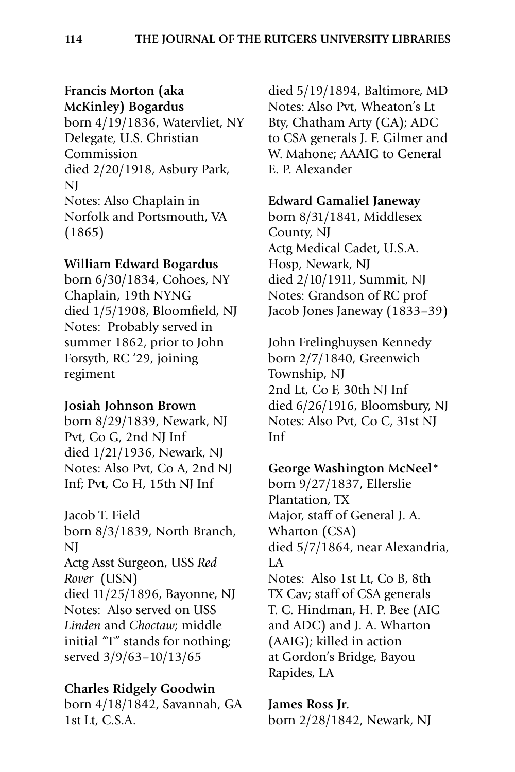# **Francis Morton (aka McKinley) Bogardus**

born 4/19/1836, Watervliet, NY Delegate, U.S. Christian Commission died 2/20/1918, Asbury Park, NJ Notes: Also Chaplain in Norfolk and Portsmouth, VA (1865)

### **William Edward Bogardus**

born 6/30/1834, Cohoes, NY Chaplain, 19th NYNG died 1/5/1908, Bloomfield, NJ Notes: Probably served in summer 1862, prior to John Forsyth, RC '29, joining regiment

### **Josiah Johnson Brown**

born 8/29/1839, Newark, NJ Pvt, Co G, 2nd NJ Inf died 1/21/1936, Newark, NJ Notes: Also Pvt, Co A, 2nd NJ Inf; Pvt, Co H, 15th NJ Inf

Jacob T. Field born 8/3/1839, North Branch, NJ Actg Asst Surgeon, USS *Red Rover* (USN) died 11/25/1896, Bayonne, NJ Notes: Also served on USS *Linden* and *Choctaw*; middle initial "T" stands for nothing; served 3/9/63–10/13/65

### **Charles Ridgely Goodwin**

born 4/18/1842, Savannah, GA 1st Lt, C.S.A.

died 5/19/1894, Baltimore, MD Notes: Also Pvt, Wheaton's Lt Bty, Chatham Arty (GA); ADC to CSA generals J. F. Gilmer and W. Mahone; AAAIG to General E. P. Alexander

### **Edward Gamaliel Janeway**

born 8/31/1841, Middlesex County, NJ Actg Medical Cadet, U.S.A. Hosp, Newark, NJ died 2/10/1911, Summit, NJ Notes: Grandson of RC prof Jacob Jones Janeway (1833–39)

John Frelinghuysen Kennedy born 2/7/1840, Greenwich Township, NJ 2nd Lt, Co F, 30th NJ Inf died 6/26/1916, Bloomsbury, NJ Notes: Also Pvt, Co C, 31st NJ Inf

### **George Washington McNeel\***

born 9/27/1837, Ellerslie Plantation, TX Major, staff of General J. A. Wharton (CSA) died 5/7/1864, near Alexandria, LA Notes: Also 1st Lt, Co B, 8th TX Cav; staff of CSA generals T. C. Hindman, H. P. Bee (AIG and ADC) and J. A. Wharton (AAIG); killed in action at Gordon's Bridge, Bayou Rapides, LA

**James Ross Jr.** born 2/28/1842, Newark, NJ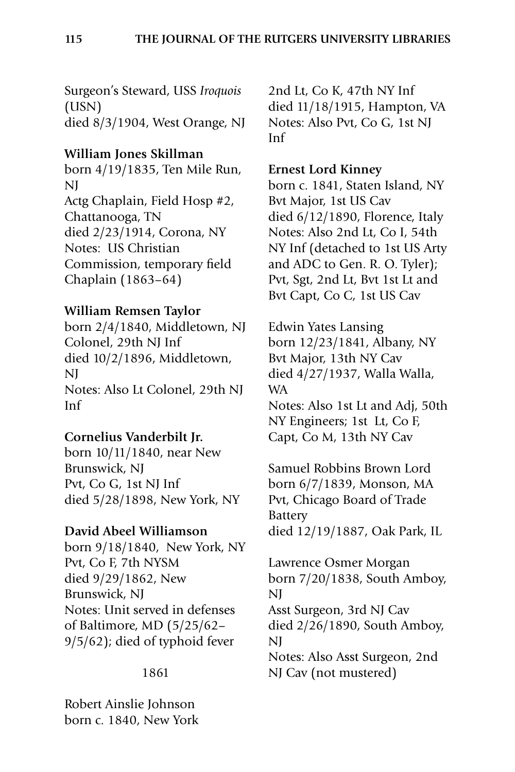Surgeon's Steward, USS *Iroquois* (USN) died 8/3/1904, West Orange, NJ

### **William Jones Skillman**

born 4/19/1835, Ten Mile Run, NJ Actg Chaplain, Field Hosp #2, Chattanooga, TN died 2/23/1914, Corona, NY Notes: US Christian Commission, temporary field Chaplain (1863–64)

### **William Remsen Taylor**

born 2/4/1840, Middletown, NJ Colonel, 29th NJ Inf died 10/2/1896, Middletown, NJ Notes: Also Lt Colonel, 29th NJ Inf

### **Cornelius Vanderbilt Jr.**

born 10/11/1840, near New Brunswick, NJ Pvt, Co G, 1st NJ Inf died 5/28/1898, New York, NY

### **David Abeel Williamson**

born 9/18/1840, New York, NY Pvt, Co F, 7th NYSM died 9/29/1862, New Brunswick, NJ Notes: Unit served in defenses of Baltimore, MD (5/25/62– 9/5/62); died of typhoid fever

### 1861

Robert Ainslie Johnson born c. 1840, New York 2nd Lt, Co K, 47th NY Inf died 11/18/1915, Hampton, VA Notes: Also Pvt, Co G, 1st NJ Inf

### **Ernest Lord Kinney**

born c. 1841, Staten Island, NY Bvt Major, 1st US Cav died 6/12/1890, Florence, Italy Notes: Also 2nd Lt, Co I, 54th NY Inf (detached to 1st US Arty and ADC to Gen. R. O. Tyler); Pvt, Sgt, 2nd Lt, Bvt 1st Lt and Bvt Capt, Co C, 1st US Cav

Edwin Yates Lansing born 12/23/1841, Albany, NY Bvt Major, 13th NY Cav died 4/27/1937, Walla Walla, WA Notes: Also 1st Lt and Adj, 50th

NY Engineers; 1st Lt, Co F, Capt, Co M, 13th NY Cav

Samuel Robbins Brown Lord born 6/7/1839, Monson, MA Pvt, Chicago Board of Trade Battery died 12/19/1887, Oak Park, IL

Lawrence Osmer Morgan born 7/20/1838, South Amboy, NJ Asst Surgeon, 3rd NJ Cav died 2/26/1890, South Amboy, NJ Notes: Also Asst Surgeon, 2nd NJ Cav (not mustered)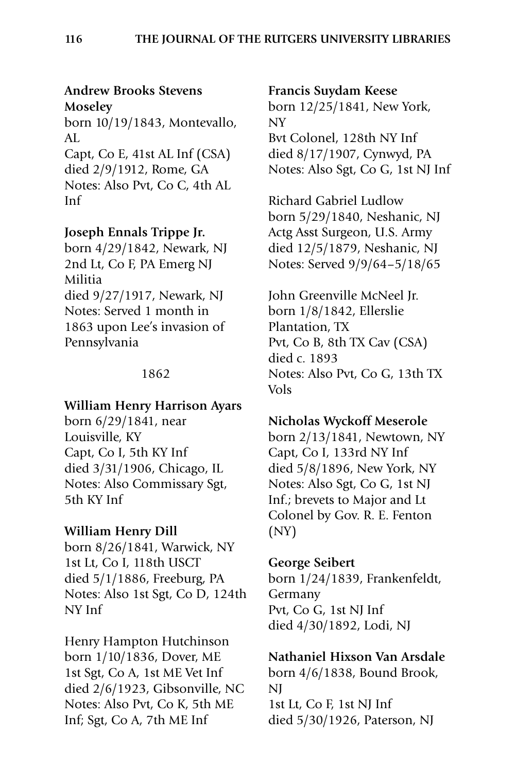# **Andrew Brooks Stevens Moseley**

born 10/19/1843, Montevallo,  $AI.$ 

Capt, Co E, 41st AL Inf (CSA) died 2/9/1912, Rome, GA Notes: Also Pvt, Co C, 4th AL Inf

# **Joseph Ennals Trippe Jr.**

born 4/29/1842, Newark, NJ 2nd Lt, Co F, PA Emerg NJ Militia died 9/27/1917, Newark, NJ Notes: Served 1 month in 1863 upon Lee's invasion of Pennsylvania

### 1862

### **William Henry Harrison Ayars**

born 6/29/1841, near Louisville, KY Capt, Co I, 5th KY Inf died 3/31/1906, Chicago, IL Notes: Also Commissary Sgt, 5th KY Inf

### **William Henry Dill**

born 8/26/1841, Warwick, NY 1st Lt, Co I, 118th USCT died 5/1/1886, Freeburg, PA Notes: Also 1st Sgt, Co D, 124th NY Inf

Henry Hampton Hutchinson born 1/10/1836, Dover, ME 1st Sgt, Co A, 1st ME Vet Inf died 2/6/1923, Gibsonville, NC Notes: Also Pvt, Co K, 5th ME Inf; Sgt, Co A, 7th ME Inf

#### **Francis Suydam Keese**

born 12/25/1841, New York, NY Bvt Colonel, 128th NY Inf died 8/17/1907, Cynwyd, PA Notes: Also Sgt, Co G, 1st NJ Inf

Richard Gabriel Ludlow born 5/29/1840, Neshanic, NJ Actg Asst Surgeon, U.S. Army died 12/5/1879, Neshanic, NJ Notes: Served 9/9/64–5/18/65

John Greenville McNeel Jr. born 1/8/1842, Ellerslie Plantation, TX Pvt, Co B, 8th TX Cav (CSA) died c. 1893 Notes: Also Pvt, Co G, 13th TX Vols

### **Nicholas Wyckoff Meserole**

born 2/13/1841, Newtown, NY Capt, Co I, 133rd NY Inf died 5/8/1896, New York, NY Notes: Also Sgt, Co G, 1st NJ Inf.; brevets to Major and Lt Colonel by Gov. R. E. Fenton (NY)

### **George Seibert**

born 1/24/1839, Frankenfeldt, Germany Pvt, Co G, 1st NJ Inf died 4/30/1892, Lodi, NJ

# **Nathaniel Hixson Van Arsdale**

born 4/6/1838, Bound Brook, NJ 1st Lt, Co F, 1st NJ Inf died 5/30/1926, Paterson, NJ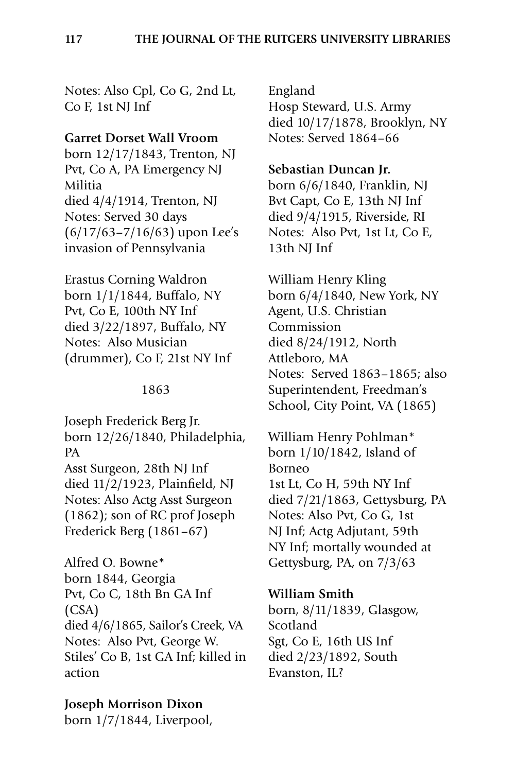Notes: Also Cpl, Co G, 2nd Lt, Co F, 1st NJ Inf

#### **Garret Dorset Wall Vroom**

born 12/17/1843, Trenton, NJ Pvt, Co A, PA Emergency NJ Militia died 4/4/1914, Trenton, NJ Notes: Served 30 days (6/17/63–7/16/63) upon Lee's invasion of Pennsylvania

Erastus Corning Waldron born 1/1/1844, Buffalo, NY Pvt, Co E, 100th NY Inf died 3/22/1897, Buffalo, NY Notes: Also Musician (drummer), Co F, 21st NY Inf

#### 1863

Joseph Frederick Berg Jr. born 12/26/1840, Philadelphia, PA Asst Surgeon, 28th NJ Inf died 11/2/1923, Plainfield, NJ Notes: Also Actg Asst Surgeon (1862); son of RC prof Joseph Frederick Berg (1861–67)

Alfred O. Bowne\* born 1844, Georgia Pvt, Co C, 18th Bn GA Inf (CSA) died 4/6/1865, Sailor's Creek, VA Notes: Also Pvt, George W. Stiles' Co B, 1st GA Inf; killed in action

#### **Joseph Morrison Dixon**

born 1/7/1844, Liverpool,

England Hosp Steward, U.S. Army died 10/17/1878, Brooklyn, NY Notes: Served 1864–66

#### **Sebastian Duncan Jr.**

born 6/6/1840, Franklin, NJ Bvt Capt, Co E, 13th NJ Inf died 9/4/1915, Riverside, RI Notes: Also Pvt, 1st Lt, Co E, 13th NJ Inf

William Henry Kling born 6/4/1840, New York, NY Agent, U.S. Christian Commission died 8/24/1912, North Attleboro, MA Notes: Served 1863–1865; also Superintendent, Freedman's School, City Point, VA (1865)

William Henry Pohlman\* born 1/10/1842, Island of Borneo 1st Lt, Co H, 59th NY Inf died 7/21/1863, Gettysburg, PA Notes: Also Pvt, Co G, 1st NJ Inf; Actg Adjutant, 59th NY Inf; mortally wounded at Gettysburg, PA, on 7/3/63

**William Smith** born, 8/11/1839, Glasgow, Scotland Sgt, Co E, 16th US Inf died 2/23/1892, South Evanston, IL?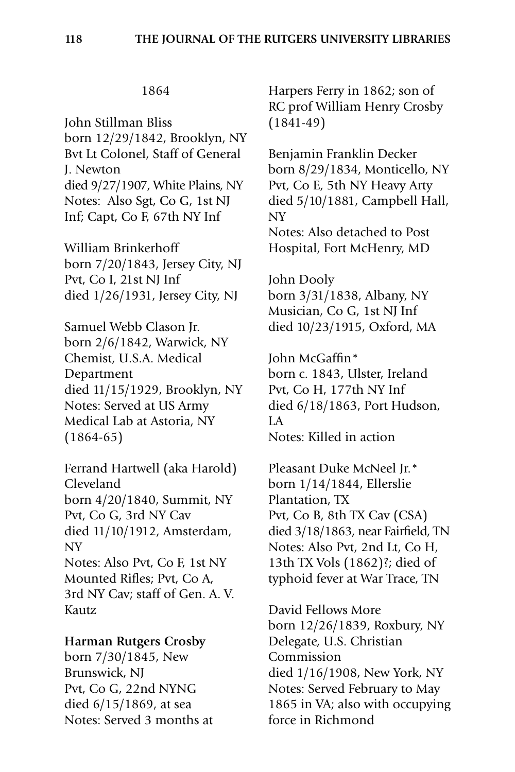John Stillman Bliss born 12/29/1842, Brooklyn, NY Bvt Lt Colonel, Staff of General J. Newton died 9/27/1907, White Plains, NY Notes: Also Sgt, Co G, 1st NJ Inf; Capt, Co F, 67th NY Inf

William Brinkerhoff born 7/20/1843, Jersey City, NJ Pvt, Co I, 21st NJ Inf died 1/26/1931, Jersey City, NJ

Samuel Webb Clason Jr. born 2/6/1842, Warwick, NY Chemist, U.S.A. Medical Department died 11/15/1929, Brooklyn, NY Notes: Served at US Army Medical Lab at Astoria, NY (1864-65)

Ferrand Hartwell (aka Harold) Cleveland born 4/20/1840, Summit, NY Pvt, Co G, 3rd NY Cav died 11/10/1912, Amsterdam, NY Notes: Also Pvt, Co F, 1st NY Mounted Rifles; Pvt, Co A, 3rd NY Cav; staff of Gen. A. V. Kautz

### **Harman Rutgers Crosby**

born 7/30/1845, New Brunswick, NJ Pvt, Co G, 22nd NYNG died 6/15/1869, at sea Notes: Served 3 months at

Harpers Ferry in 1862; son of RC prof William Henry Crosby (1841-49)

Benjamin Franklin Decker born 8/29/1834, Monticello, NY Pvt, Co E, 5th NY Heavy Arty died 5/10/1881, Campbell Hall, NY Notes: Also detached to Post

Hospital, Fort McHenry, MD

John Dooly born 3/31/1838, Albany, NY Musician, Co G, 1st NJ Inf died 10/23/1915, Oxford, MA

John McGaffin\* born c. 1843, Ulster, Ireland Pvt, Co H, 177th NY Inf died 6/18/1863, Port Hudson, LA Notes: Killed in action

Pleasant Duke McNeel Jr.\* born 1/14/1844, Ellerslie Plantation, TX Pvt, Co B, 8th TX Cav (CSA) died 3/18/1863, near Fairfield, TN Notes: Also Pvt, 2nd Lt, Co H, 13th TX Vols (1862)?; died of typhoid fever at War Trace, TN

David Fellows More born 12/26/1839, Roxbury, NY Delegate, U.S. Christian Commission died 1/16/1908, New York, NY Notes: Served February to May 1865 in VA; also with occupying force in Richmond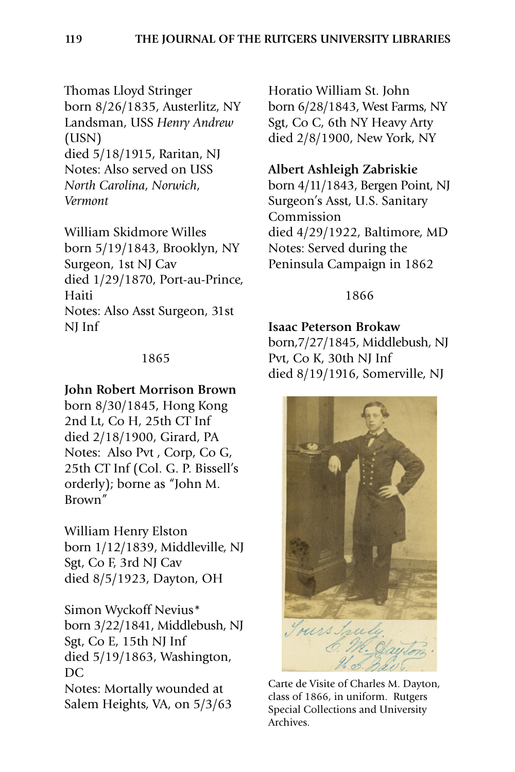Thomas Lloyd Stringer born 8/26/1835, Austerlitz, NY Landsman, USS *Henry Andrew* (USN) died 5/18/1915, Raritan, NJ Notes: Also served on USS *North Carolina*, *Norwich*, *Vermont*

William Skidmore Willes born 5/19/1843, Brooklyn, NY Surgeon, 1st NJ Cav died 1/29/1870, Port-au-Prince, Haiti Notes: Also Asst Surgeon, 31st NJ Inf

### 1865

### **John Robert Morrison Brown**

born 8/30/1845, Hong Kong 2nd Lt, Co H, 25th CT Inf died 2/18/1900, Girard, PA Notes: Also Pvt , Corp, Co G, 25th CT Inf (Col. G. P. Bissell's orderly); borne as "John M. Brown"

William Henry Elston born 1/12/1839, Middleville, NJ Sgt, Co F, 3rd NJ Cav died 8/5/1923, Dayton, OH

Simon Wyckoff Nevius\* born 3/22/1841, Middlebush, NJ Sgt, Co E, 15th NJ Inf died 5/19/1863, Washington, DC. Notes: Mortally wounded at Salem Heights, VA, on 5/3/63

Horatio William St. John born 6/28/1843, West Farms, NY Sgt, Co C, 6th NY Heavy Arty died 2/8/1900, New York, NY

### **Albert Ashleigh Zabriskie**

born 4/11/1843, Bergen Point, NJ Surgeon's Asst, U.S. Sanitary Commission died 4/29/1922, Baltimore, MD Notes: Served during the Peninsula Campaign in 1862

### 1866

### **Isaac Peterson Brokaw**

born,7/27/1845, Middlebush, NJ Pvt, Co K, 30th NJ Inf died 8/19/1916, Somerville, NJ



Carte de Visite of Charles M. Dayton, class of 1866, in uniform. Rutgers Special Collections and University Archives.